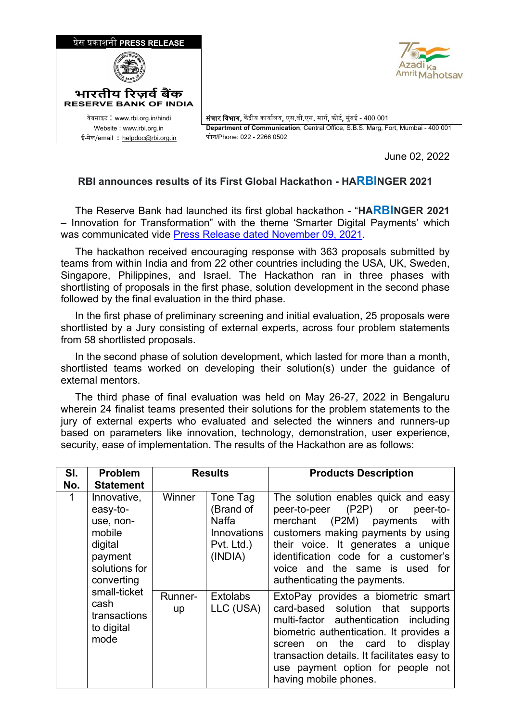

June 02, 2022

## **RBI announces results of its First Global Hackathon - HARBINGER 2021**

 The Reserve Bank had launched its first global hackathon - "**HARBINGER 2021**  – Innovation for Transformation" with the theme 'Smarter Digital Payments' which was communicated vide [Press Release dated November 09, 2021.](https://fintech.rbi.org.in/FS_PressRelease?prid=52533&fn=2765)

 The hackathon received encouraging response with 363 proposals submitted by teams from within India and from 22 other countries including the USA, UK, Sweden, Singapore, Philippines, and Israel. The Hackathon ran in three phases with shortlisting of proposals in the first phase, solution development in the second phase followed by the final evaluation in the third phase.

 In the first phase of preliminary screening and initial evaluation, 25 proposals were shortlisted by a Jury consisting of external experts, across four problem statements from 58 shortlisted proposals.

 In the second phase of solution development, which lasted for more than a month, shortlisted teams worked on developing their solution(s) under the guidance of external mentors.

 The third phase of final evaluation was held on May 26-27, 2022 in Bengaluru wherein 24 finalist teams presented their solutions for the problem statements to the jury of external experts who evaluated and selected the winners and runners-up based on parameters like innovation, technology, demonstration, user experience, security, ease of implementation. The results of the Hackathon are as follows:

| SI.         | <b>Problem</b>                                                                                                                                                    | <b>Results</b> |                                                                        | <b>Products Description</b>                                                                                                                                                                                                                                                                                     |
|-------------|-------------------------------------------------------------------------------------------------------------------------------------------------------------------|----------------|------------------------------------------------------------------------|-----------------------------------------------------------------------------------------------------------------------------------------------------------------------------------------------------------------------------------------------------------------------------------------------------------------|
| No.         | <b>Statement</b>                                                                                                                                                  |                |                                                                        |                                                                                                                                                                                                                                                                                                                 |
| $\mathbf 1$ | Innovative,<br>easy-to-<br>use, non-<br>mobile<br>digital<br>payment<br>solutions for<br>converting<br>small-ticket<br>cash<br>transactions<br>to digital<br>mode | Winner         | Tone Tag<br>(Brand of<br>Naffa<br>Innovations<br>Pvt. Ltd.)<br>(INDIA) | The solution enables quick and easy<br>peer-to-peer (P2P)<br>peer-to-<br>or<br>merchant (P2M) payments<br>with<br>customers making payments by using<br>their voice. It generates a unique<br>identification code for a customer's<br>voice and the same is used for<br>authenticating the payments.            |
|             |                                                                                                                                                                   | Runner-<br>up  | <b>Extolabs</b><br>LLC (USA)                                           | ExtoPay provides a biometric smart<br>card-based solution that supports<br>multi-factor authentication including<br>biometric authentication. It provides a<br>display<br>the card to<br>screen on<br>transaction details. It facilitates easy to<br>use payment option for people not<br>having mobile phones. |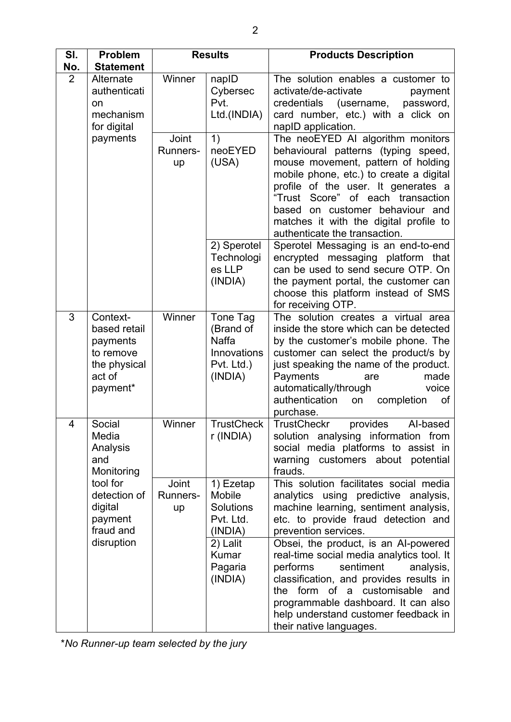| SI.<br>No. | <b>Problem</b><br><b>Statement</b>                                                                                            | <b>Results</b>                 |                                                                                                                   | <b>Products Description</b>                                                                                                                                                                                                                                                                                                                                                                                                                                                                                 |
|------------|-------------------------------------------------------------------------------------------------------------------------------|--------------------------------|-------------------------------------------------------------------------------------------------------------------|-------------------------------------------------------------------------------------------------------------------------------------------------------------------------------------------------------------------------------------------------------------------------------------------------------------------------------------------------------------------------------------------------------------------------------------------------------------------------------------------------------------|
| 2          | Alternate<br>authenticati<br>on<br>mechanism<br>for digital<br>payments                                                       | Winner                         | napID<br>Cybersec<br>Pvt.<br>Ltd.(INDIA)                                                                          | The solution enables a customer to<br>activate/de-activate<br>payment<br>credentials<br>(username,<br>password,<br>card number, etc.) with a click on<br>napID application.                                                                                                                                                                                                                                                                                                                                 |
|            |                                                                                                                               | Joint<br>Runners-<br>up        | 1)<br>neoEYED<br>(USA)                                                                                            | The neoEYED AI algorithm monitors<br>behavioural patterns (typing speed,<br>mouse movement, pattern of holding<br>mobile phone, etc.) to create a digital<br>profile of the user. It generates a<br>"Trust Score" of each transaction<br>based on customer behaviour and<br>matches it with the digital profile to<br>authenticate the transaction.                                                                                                                                                         |
|            |                                                                                                                               |                                | 2) Sperotel<br>Technologi<br>es LLP<br>(INDIA)                                                                    | Sperotel Messaging is an end-to-end<br>encrypted messaging platform that<br>can be used to send secure OTP. On<br>the payment portal, the customer can<br>choose this platform instead of SMS<br>for receiving OTP.                                                                                                                                                                                                                                                                                         |
| 3          | Context-<br>based retail<br>payments<br>to remove<br>the physical<br>act of<br>payment*                                       | Winner                         | Tone Tag<br>(Brand of<br><b>Naffa</b><br>Innovations<br>Pvt. Ltd.)<br>(INDIA)                                     | The solution creates a virtual area<br>inside the store which can be detected<br>by the customer's mobile phone. The<br>customer can select the product/s by<br>just speaking the name of the product.<br>Payments<br>made<br>are<br>automatically/through<br>voice<br>authentication<br>completion<br>on<br>of<br>purchase.                                                                                                                                                                                |
| 4          | Social<br>Media<br>Analysis<br>and<br>Monitoring<br>tool for<br>detection of<br>digital<br>payment<br>fraud and<br>disruption | Winner                         | <b>TrustCheck</b><br>r (INDIA)                                                                                    | <b>TrustCheckr</b><br>provides<br>Al-based<br>solution analysing information from<br>social media platforms to assist in<br>warning customers about potential<br>frauds.                                                                                                                                                                                                                                                                                                                                    |
|            |                                                                                                                               | Joint<br><b>Runners-</b><br>up | 1) Ezetap<br>Mobile<br><b>Solutions</b><br>Pvt. Ltd.<br>(INDIA)<br>2) Lalit<br><b>Kumar</b><br>Pagaria<br>(INDIA) | This solution facilitates social media<br>analytics using predictive analysis,<br>machine learning, sentiment analysis,<br>etc. to provide fraud detection and<br>prevention services.<br>Obsei, the product, is an Al-powered<br>real-time social media analytics tool. It<br>performs<br>sentiment<br>analysis,<br>classification, and provides results in<br>the form of a customisable<br>and<br>programmable dashboard. It can also<br>help understand customer feedback in<br>their native languages. |

\**No Runner-up team selected by the jury*